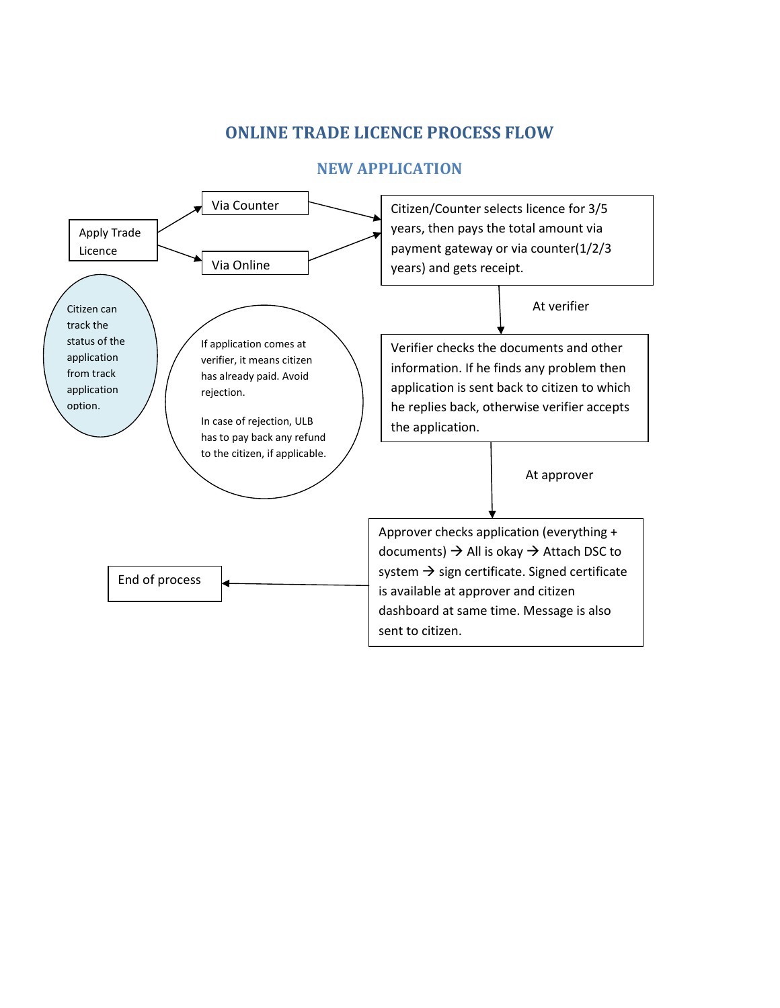## ONLINE TRADE LICENCE PROCESS FLOW